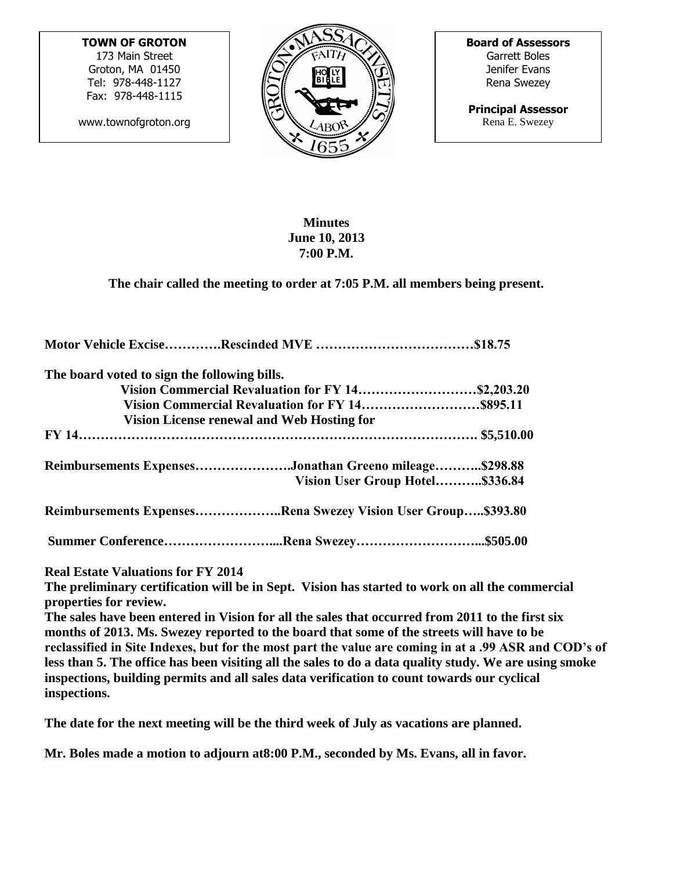**TOWN OF GROTON**

173 Main Street Groton, MA 01450 Tel: 978-448-1127 Fax: 978-448-1115

www.townofgroton.org



**Board of Assessors** Garrett Boles Jenifer Evans Rena Swezey

**Principal Assessor** Rena E. Swezey

## **Minutes June 10, 2013 7:00 P.M.**

**The chair called the meeting to order at 7:05 P.M. all members being present.**

| The board voted to sign the following bills.                 |  |
|--------------------------------------------------------------|--|
| Vision Commercial Revaluation for FY 14\$2,203.20            |  |
|                                                              |  |
| Vision License renewal and Web Hosting for                   |  |
|                                                              |  |
| Reimbursements ExpensesJonathan Greeno mileage\$298.88       |  |
| Vision User Group Hotel\$336.84                              |  |
| Reimbursements ExpensesRena Swezey Vision User Group\$393.80 |  |
|                                                              |  |
| <b>Real Estate Valuations for FY 2014</b>                    |  |

**The preliminary certification will be in Sept. Vision has started to work on all the commercial properties for review.** 

**The sales have been entered in Vision for all the sales that occurred from 2011 to the first six months of 2013. Ms. Swezey reported to the board that some of the streets will have to be reclassified in Site Indexes, but for the most part the value are coming in at a .99 ASR and COD's of less than 5. The office has been visiting all the sales to do a data quality study. We are using smoke inspections, building permits and all sales data verification to count towards our cyclical inspections.**

**The date for the next meeting will be the third week of July as vacations are planned.**

**Mr. Boles made a motion to adjourn at8:00 P.M., seconded by Ms. Evans, all in favor.**